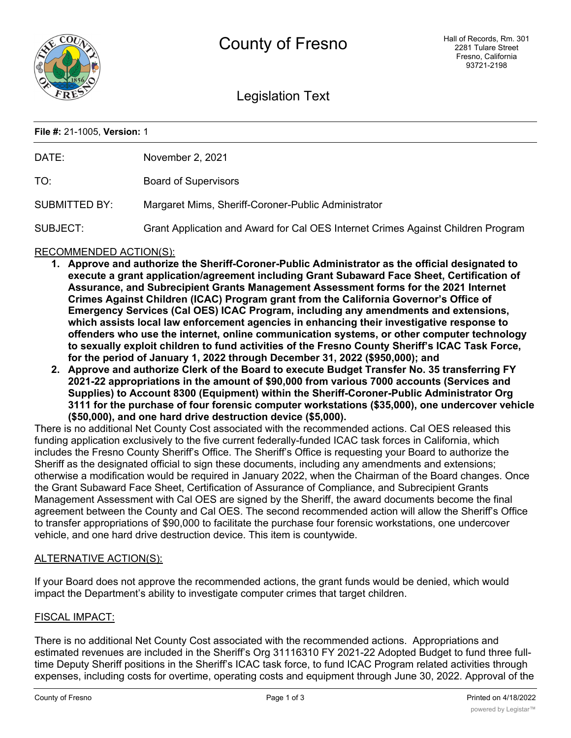

Legislation Text

### **File #:** 21-1005, **Version:** 1

| DATE:                | November 2, 2021                                                                 |
|----------------------|----------------------------------------------------------------------------------|
| TO:                  | <b>Board of Supervisors</b>                                                      |
| <b>SUBMITTED BY:</b> | Margaret Mims, Sheriff-Coroner-Public Administrator                              |
| SUBJECT:             | Grant Application and Award for Cal OES Internet Crimes Against Children Program |

## RECOMMENDED ACTION(S):

- **1. Approve and authorize the Sheriff-Coroner-Public Administrator as the official designated to execute a grant application/agreement including Grant Subaward Face Sheet, Certification of Assurance, and Subrecipient Grants Management Assessment forms for the 2021 Internet Crimes Against Children (ICAC) Program grant from the California Governor's Office of Emergency Services (Cal OES) ICAC Program, including any amendments and extensions, which assists local law enforcement agencies in enhancing their investigative response to offenders who use the internet, online communication systems, or other computer technology to sexually exploit children to fund activities of the Fresno County Sheriff's ICAC Task Force, for the period of January 1, 2022 through December 31, 2022 (\$950,000); and**
- **2. Approve and authorize Clerk of the Board to execute Budget Transfer No. 35 transferring FY 2021-22 appropriations in the amount of \$90,000 from various 7000 accounts (Services and Supplies) to Account 8300 (Equipment) within the Sheriff-Coroner-Public Administrator Org 3111 for the purchase of four forensic computer workstations (\$35,000), one undercover vehicle (\$50,000), and one hard drive destruction device (\$5,000).**

There is no additional Net County Cost associated with the recommended actions. Cal OES released this funding application exclusively to the five current federally-funded ICAC task forces in California, which includes the Fresno County Sheriff's Office. The Sheriff's Office is requesting your Board to authorize the Sheriff as the designated official to sign these documents, including any amendments and extensions; otherwise a modification would be required in January 2022, when the Chairman of the Board changes. Once the Grant Subaward Face Sheet, Certification of Assurance of Compliance, and Subrecipient Grants Management Assessment with Cal OES are signed by the Sheriff, the award documents become the final agreement between the County and Cal OES. The second recommended action will allow the Sheriff's Office to transfer appropriations of \$90,000 to facilitate the purchase four forensic workstations, one undercover vehicle, and one hard drive destruction device. This item is countywide.

## ALTERNATIVE ACTION(S):

If your Board does not approve the recommended actions, the grant funds would be denied, which would impact the Department's ability to investigate computer crimes that target children.

## FISCAL IMPACT:

There is no additional Net County Cost associated with the recommended actions. Appropriations and estimated revenues are included in the Sheriff's Org 31116310 FY 2021-22 Adopted Budget to fund three fulltime Deputy Sheriff positions in the Sheriff's ICAC task force, to fund ICAC Program related activities through expenses, including costs for overtime, operating costs and equipment through June 30, 2022. Approval of the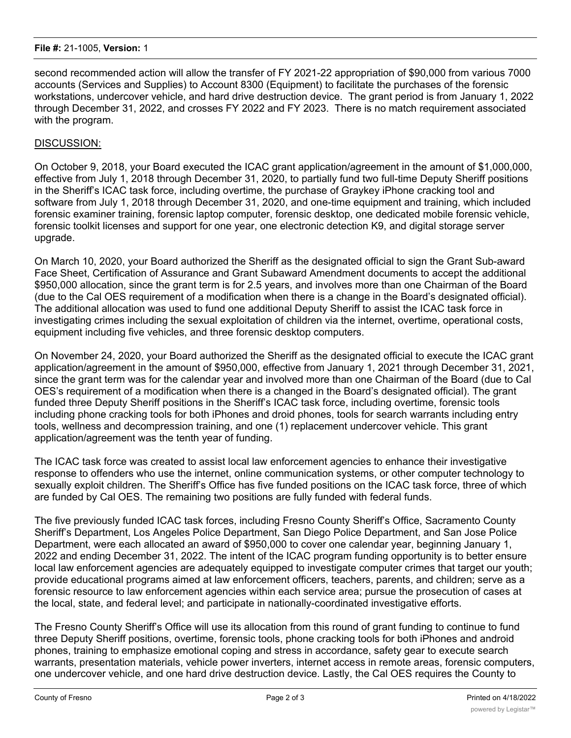### **File #:** 21-1005, **Version:** 1

second recommended action will allow the transfer of FY 2021-22 appropriation of \$90,000 from various 7000 accounts (Services and Supplies) to Account 8300 (Equipment) to facilitate the purchases of the forensic workstations, undercover vehicle, and hard drive destruction device. The grant period is from January 1, 2022 through December 31, 2022, and crosses FY 2022 and FY 2023. There is no match requirement associated with the program.

# DISCUSSION:

On October 9, 2018, your Board executed the ICAC grant application/agreement in the amount of \$1,000,000, effective from July 1, 2018 through December 31, 2020, to partially fund two full-time Deputy Sheriff positions in the Sheriff's ICAC task force, including overtime, the purchase of Graykey iPhone cracking tool and software from July 1, 2018 through December 31, 2020, and one-time equipment and training, which included forensic examiner training, forensic laptop computer, forensic desktop, one dedicated mobile forensic vehicle, forensic toolkit licenses and support for one year, one electronic detection K9, and digital storage server upgrade.

On March 10, 2020, your Board authorized the Sheriff as the designated official to sign the Grant Sub-award Face Sheet, Certification of Assurance and Grant Subaward Amendment documents to accept the additional \$950,000 allocation, since the grant term is for 2.5 years, and involves more than one Chairman of the Board (due to the Cal OES requirement of a modification when there is a change in the Board's designated official). The additional allocation was used to fund one additional Deputy Sheriff to assist the ICAC task force in investigating crimes including the sexual exploitation of children via the internet, overtime, operational costs, equipment including five vehicles, and three forensic desktop computers.

On November 24, 2020, your Board authorized the Sheriff as the designated official to execute the ICAC grant application/agreement in the amount of \$950,000, effective from January 1, 2021 through December 31, 2021, since the grant term was for the calendar year and involved more than one Chairman of the Board (due to Cal OES's requirement of a modification when there is a changed in the Board's designated official). The grant funded three Deputy Sheriff positions in the Sheriff's ICAC task force, including overtime, forensic tools including phone cracking tools for both iPhones and droid phones, tools for search warrants including entry tools, wellness and decompression training, and one (1) replacement undercover vehicle. This grant application/agreement was the tenth year of funding.

The ICAC task force was created to assist local law enforcement agencies to enhance their investigative response to offenders who use the internet, online communication systems, or other computer technology to sexually exploit children. The Sheriff's Office has five funded positions on the ICAC task force, three of which are funded by Cal OES. The remaining two positions are fully funded with federal funds.

The five previously funded ICAC task forces, including Fresno County Sheriff's Office, Sacramento County Sheriff's Department, Los Angeles Police Department, San Diego Police Department, and San Jose Police Department, were each allocated an award of \$950,000 to cover one calendar year, beginning January 1, 2022 and ending December 31, 2022. The intent of the ICAC program funding opportunity is to better ensure local law enforcement agencies are adequately equipped to investigate computer crimes that target our youth; provide educational programs aimed at law enforcement officers, teachers, parents, and children; serve as a forensic resource to law enforcement agencies within each service area; pursue the prosecution of cases at the local, state, and federal level; and participate in nationally-coordinated investigative efforts.

The Fresno County Sheriff's Office will use its allocation from this round of grant funding to continue to fund three Deputy Sheriff positions, overtime, forensic tools, phone cracking tools for both iPhones and android phones, training to emphasize emotional coping and stress in accordance, safety gear to execute search warrants, presentation materials, vehicle power inverters, internet access in remote areas, forensic computers, one undercover vehicle, and one hard drive destruction device. Lastly, the Cal OES requires the County to